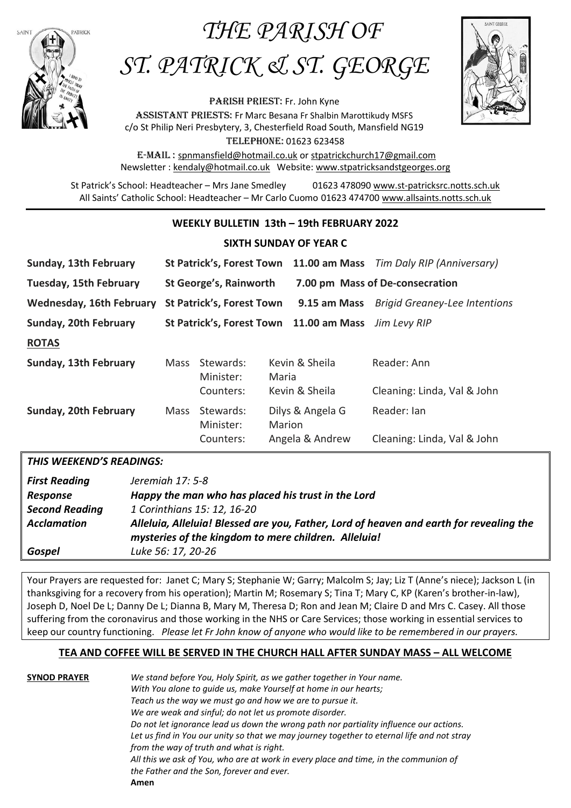## *THE PARISH OF*



# *ST. PATRICK & ST. GEORGE*

PARISH PRIEST: Fr. John Kyne Assistant priestS: Fr Marc Besana Fr Shalbin Marottikudy MSFS c/o St Philip Neri Presbytery, 3, Chesterfield Road South, Mansfield NG19 Telephone: 01623 623458



E-Mail : [spnmansfield@hotmail.co.uk](mailto:spnmansfield@hotmail.co.uk) or [stpatrickchurch17@gmail.com](mailto:stpatrickchurch17@gmail.com) Newsletter [: kendaly@hotmail.co.uk](mailto:kendaly@hotmail.co.uk) Website: [www.stpatricksandstgeorges.org](http://www.stpatricksandstgeorges.org/)

St Patrick's School: Headteacher – Mrs Jane Smedley 01623 478090 [www.st-patricksrc.notts.sch.uk](http://www.st-patricksrc.notts.sch.uk/) All Saints' Catholic School: Headteacher – Mr Carlo Cuomo 01623 474700 [www.allsaints.notts.sch.uk](http://www.allsaints.notts.sch.uk/)

#### **WEEKLY BULLETIN 13th – 19th FEBRUARY 2022**

#### **SIXTH SUNDAY OF YEAR C**

| Sunday, 13th February           | <b>St Patrick's, Forest Town</b> |                                     |                | 11.00 am Mass Tim Daly RIP (Anniversary) |                                            |
|---------------------------------|----------------------------------|-------------------------------------|----------------|------------------------------------------|--------------------------------------------|
| Tuesday, 15th February          | St George's, Rainworth           |                                     |                | 7.00 pm Mass of De-consecration          |                                            |
| <b>Wednesday, 16th February</b> | <b>St Patrick's, Forest Town</b> |                                     |                | 9.15 am Mass                             | <b>Brigid Greaney-Lee Intentions</b>       |
| Sunday, 20th February           |                                  |                                     |                | St Patrick's, Forest Town 11.00 am Mass  | Jim Levy RIP                               |
| <b>ROTAS</b>                    |                                  |                                     |                |                                          |                                            |
| Sunday, 13th February           | <b>Mass</b>                      | Stewards:<br>Minister:              |                | Kevin & Sheila<br>Maria                  | Reader: Ann                                |
|                                 |                                  | Counters:                           | Kevin & Sheila |                                          | Cleaning: Linda, Val & John                |
| Sunday, 20th February           | <b>Mass</b>                      | Stewards:<br>Minister:<br>Counters: | Marion         | Dilys & Angela G<br>Angela & Andrew      | Reader: Ian<br>Cleaning: Linda, Val & John |

#### *THIS WEEKEND'S READINGS:*

| <b>First Reading</b><br>Response | Jeremiah 17: 5-8<br>Happy the man who has placed his trust in the Lord                  |
|----------------------------------|-----------------------------------------------------------------------------------------|
| <b>Second Reading</b>            | 1 Corinthians 15: 12, 16-20                                                             |
| <b>Acclamation</b>               | Alleluia, Alleluia! Blessed are you, Father, Lord of heaven and earth for revealing the |
|                                  | mysteries of the kingdom to mere children. Alleluia!                                    |
| Gospel                           | Luke 56: 17, 20-26                                                                      |

Your Prayers are requested for: Janet C; Mary S; Stephanie W; Garry; Malcolm S; Jay; Liz T (Anne's niece); Jackson L (in thanksgiving for a recovery from his operation); Martin M; Rosemary S; Tina T; Mary C, KP (Karen's brother-in-law), Joseph D, Noel De L; Danny De L; Dianna B, Mary M, Theresa D; Ron and Jean M; Claire D and Mrs C. Casey. All those suffering from the coronavirus and those working in the NHS or Care Services; those working in essential services to keep our country functioning. *Please let Fr John know of anyone who would like to be remembered in our prayers.*

#### **TEA AND COFFEE WILL BE SERVED IN THE CHURCH HALL AFTER SUNDAY MASS – ALL WELCOME**

**SYNOD PRAYER** *We stand before You, Holy Spirit, as we gather together in Your name. With You alone to guide us, make Yourself at home in our hearts; Teach us the way we must go and how we are to pursue it. We are weak and sinful; do not let us promote disorder. Do not let ignorance lead us down the wrong path nor partiality influence our actions. Let us find in You our unity so that we may journey together to eternal life and not stray from the way of truth and what is right. All this we ask of You, who are at work in every place and time, in the communion of the Father and the Son, forever and ever.* **Amen**